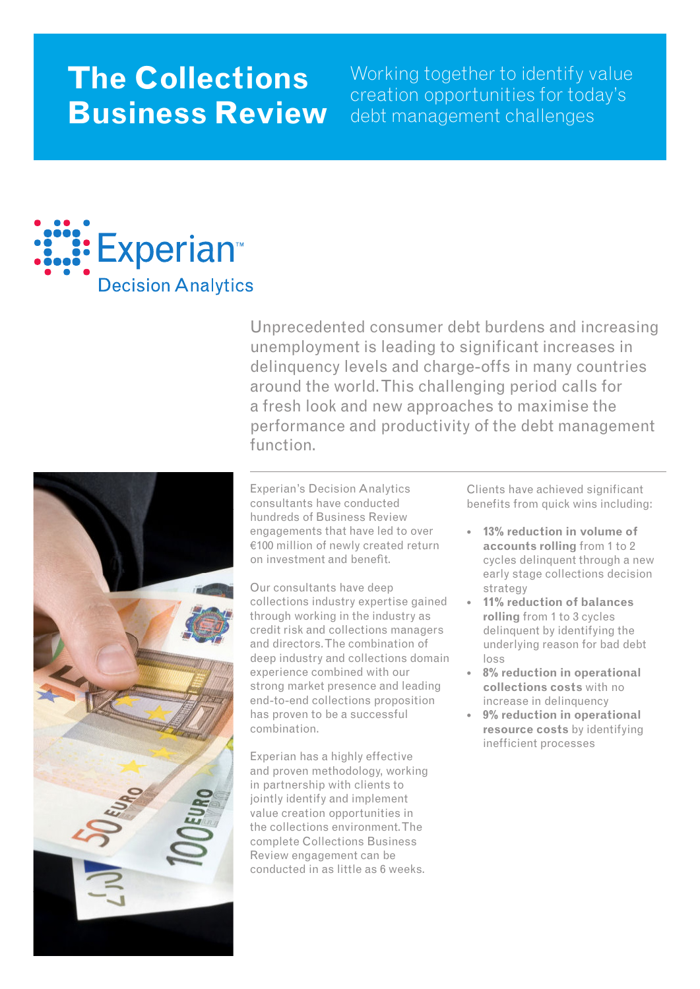# **The Collections Business Review**

Working together to identify value creation opportunities for today's debt management challenges



Unprecedented consumer debt burdens and increasing unemployment is leading to significant increases in delinquency levels and charge-offs in many countries around the world. This challenging period calls for a fresh look and new approaches to maximise the performance and productivity of the debt management function.



Experian's Decision Analytics consultants have conducted hundreds of Business Review engagements that have led to over €100 million of newly created return on investment and benefit.

Our consultants have deep collections industry expertise gained through working in the industry as credit risk and collections managers and directors. The combination of deep industry and collections domain experience combined with our strong market presence and leading end-to-end collections proposition has proven to be a successful combination.

Experian has a highly effective and proven methodology, working in partnership with clients to jointly identify and implement value creation opportunities in the collections environment. The complete Collections Business Review engagement can be conducted in as little as 6 weeks.

Clients have achieved significant benefits from quick wins including:

- **13% reduction in volume of accounts rolling** from 1 to 2 cycles delinquent through a new early stage collections decision strategy
- **11% reduction of balances rolling** from 1 to 3 cycles delinquent by identifying the underlying reason for bad debt loss •
- **8% reduction in operational collections costs** with no increase in delinquency •
- **9% reduction in operational**  •**resource costs** by identifying inefficient processes